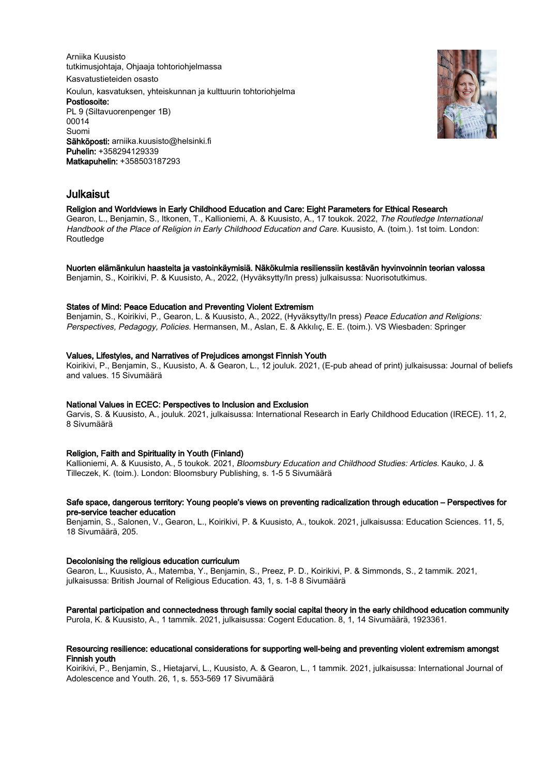Arniika Kuusisto tutkimusjohtaja, Ohjaaja tohtoriohjelmassa Kasvatustieteiden osasto Koulun, kasvatuksen, yhteiskunnan ja kulttuurin tohtoriohjelma Postiosoite: PL 9 (Siltavuorenpenger 1B) 00014 Suomi Sähköposti: arniika.kuusisto@helsinki.fi Puhelin: +358294129339 Matkapuhelin: +358503187293



# Julkaisut

# Religion and Worldviews in Early Childhood Education and Care: Eight Parameters for Ethical Research

Gearon, L., Benjamin, S., Itkonen, T., Kallioniemi, A. & Kuusisto, A., 17 toukok. 2022, The Routledge International Handbook of the Place of Religion in Early Childhood Education and Care. Kuusisto, A. (toim.). 1st toim. London: **Routledge** 

## Nuorten elämänkulun haasteita ja vastoinkäymisiä. Näkökulmia resilienssiin kestävän hyvinvoinnin teorian valossa

Benjamin, S., Koirikivi, P. & Kuusisto, A., 2022, (Hyväksytty/In press) julkaisussa: Nuorisotutkimus.

# States of Mind: Peace Education and Preventing Violent Extremism

Benjamin, S., Koirikivi, P., Gearon, L. & Kuusisto, A., 2022, (Hyväksytty/In press) Peace Education and Religions: Perspectives, Pedagogy, Policies. Hermansen, M., Aslan, E. & Akkılıç, E. E. (toim.). VS Wiesbaden: Springer

# Values, Lifestyles, and Narratives of Prejudices amongst Finnish Youth

Koirikivi, P., Benjamin, S., Kuusisto, A. & Gearon, L., 12 jouluk. 2021, (E-pub ahead of print) julkaisussa: Journal of beliefs and values. 15 Sivumäärä

# National Values in ECEC: Perspectives to Inclusion and Exclusion

Garvis, S. & Kuusisto, A., jouluk. 2021, julkaisussa: International Research in Early Childhood Education (IRECE). 11, 2, 8 Sivumäärä

# Religion, Faith and Spirituality in Youth (Finland)

Kallioniemi, A. & Kuusisto, A., 5 toukok. 2021, Bloomsbury Education and Childhood Studies: Articles. Kauko, J. & Tilleczek, K. (toim.). London: Bloomsbury Publishing, s. 1-5 5 Sivumäärä

# Safe space, dangerous territory: Young people's views on preventing radicalization through education – Perspectives for pre-service teacher education

Benjamin, S., Salonen, V., Gearon, L., Koirikivi, P. & Kuusisto, A., toukok. 2021, julkaisussa: Education Sciences. 11, 5, 18 Sivumäärä, 205.

# Decolonising the religious education curriculum

Gearon, L., Kuusisto, A., Matemba, Y., Benjamin, S., Preez, P. D., Koirikivi, P. & Simmonds, S., 2 tammik. 2021, julkaisussa: British Journal of Religious Education. 43, 1, s. 1-8 8 Sivumäärä

Parental participation and connectedness through family social capital theory in the early childhood education community Purola, K. & Kuusisto, A., 1 tammik. 2021, julkaisussa: Cogent Education. 8, 1, 14 Sivumäärä, 1923361.

# Resourcing resilience: educational considerations for supporting well-being and preventing violent extremism amongst Finnish youth

Koirikivi, P., Benjamin, S., Hietajarvi, L., Kuusisto, A. & Gearon, L., 1 tammik. 2021, julkaisussa: International Journal of Adolescence and Youth. 26, 1, s. 553-569 17 Sivumäärä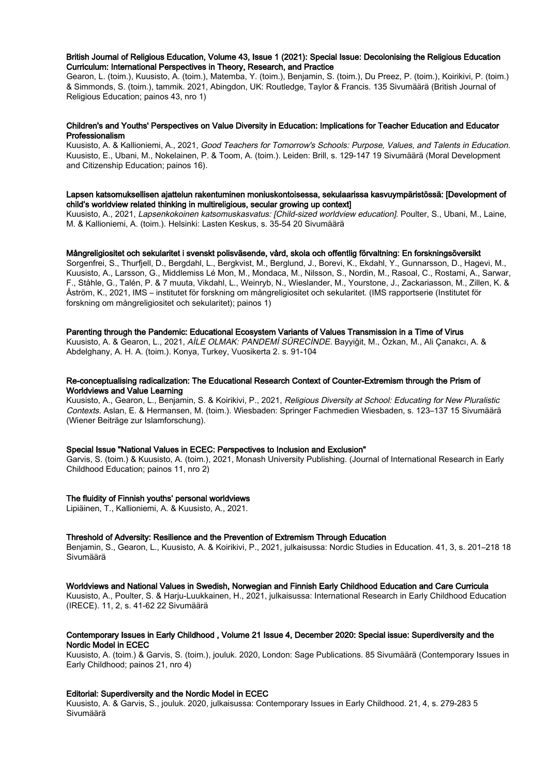## British Journal of Religious Education, Volume 43, Issue 1 (2021): Special Issue: Decolonising the Religious Education Curriculum: International Perspectives in Theory, Research, and Practice

Gearon, L. (toim.), Kuusisto, A. (toim.), Matemba, Y. (toim.), Benjamin, S. (toim.), Du Preez, P. (toim.), Koirikivi, P. (toim.) & Simmonds, S. (toim.), tammik. 2021, Abingdon, UK: Routledge, Taylor & Francis. 135 Sivumäärä (British Journal of Religious Education; painos 43, nro 1)

## Children's and Youths' Perspectives on Value Diversity in Education: Implications for Teacher Education and Educator Professionalism

Kuusisto, A. & Kallioniemi, A., 2021, Good Teachers for Tomorrow's Schools: Purpose, Values, and Talents in Education. Kuusisto, E., Ubani, M., Nokelainen, P. & Toom, A. (toim.). Leiden: Brill, s. 129-147 19 Sivumäärä (Moral Development and Citizenship Education; painos 16).

# Lapsen katsomuksellisen ajattelun rakentuminen moniuskontoisessa, sekulaarissa kasvuympäristössä: [Development of child's worldview related thinking in multireligious, secular growing up context]

Kuusisto, A., 2021, Lapsenkokoinen katsomuskasvatus: [Child-sized worldview education]. Poulter, S., Ubani, M., Laine, M. & Kallioniemi, A. (toim.). Helsinki: Lasten Keskus, s. 35-54 20 Sivumäärä

## Mångreligiositet och sekularitet i svenskt polisväsende, vård, skola och offentlig förvaltning: En forskningsöversikt

Sorgenfrei, S., Thurfjell, D., Bergdahl, L., Bergkvist, M., Berglund, J., Borevi, K., Ekdahl, Y., Gunnarsson, D., Hagevi, M., Kuusisto, A., Larsson, G., Middlemiss Lé Mon, M., Mondaca, M., Nilsson, S., Nordin, M., Rasoal, C., Rostami, A., Sarwar, F., Ståhle, G., Talén, P. & 7 muuta, Vikdahl, L., Weinryb, N., Wieslander, M., Yourstone, J., Zackariasson, M., Zillen, K. & Åström, K., 2021, IMS – institutet för forskning om mångreligiositet och sekularitet. (IMS rapportserie (Institutet för forskning om mångreligiositet och sekularitet); painos 1)

## Parenting through the Pandemic: Educational Ecosystem Variants of Values Transmission in a Time of Virus

Kuusisto, A. & Gearon, L., 2021, AİLE OLMAK: PANDEMİ SÜRECİNDE. Bayyiğit, M., Özkan, M., Ali Çanakcı, A. & Abdelghany, A. H. A. (toim.). Konya, Turkey, Vuosikerta 2. s. 91-104

## Re-conceptualising radicalization: The Educational Research Context of Counter-Extremism through the Prism of Worldviews and Value Learning

Kuusisto, A., Gearon, L., Benjamin, S. & Koirikivi, P., 2021, Religious Diversity at School: Educating for New Pluralistic Contexts. Aslan, E. & Hermansen, M. (toim.). Wiesbaden: Springer Fachmedien Wiesbaden, s. 123–137 15 Sivumäärä (Wiener Beiträge zur Islamforschung).

#### Special Issue "National Values in ECEC: Perspectives to Inclusion and Exclusion"

Garvis, S. (toim.) & Kuusisto, A. (toim.), 2021, Monash University Publishing. (Journal of International Research in Early Childhood Education; painos 11, nro 2)

## The fluidity of Finnish youths' personal worldviews

Lipiäinen, T., Kallioniemi, A. & Kuusisto, A., 2021.

# Threshold of Adversity: Resilience and the Prevention of Extremism Through Education

Benjamin, S., Gearon, L., Kuusisto, A. & Koirikivi, P., 2021, julkaisussa: Nordic Studies in Education. 41, 3, s. 201–218 18 Sivumäärä

#### Worldviews and National Values in Swedish, Norwegian and Finnish Early Childhood Education and Care Curricula

Kuusisto, A., Poulter, S. & Harju-Luukkainen, H., 2021, julkaisussa: International Research in Early Childhood Education (IRECE). 11, 2, s. 41-62 22 Sivumäärä

# Contemporary Issues in Early Childhood , Volume 21 Issue 4, December 2020: Special issue: Superdiversity and the Nordic Model in ECEC

Kuusisto, A. (toim.) & Garvis, S. (toim.), jouluk. 2020, London: Sage Publications. 85 Sivumäärä (Contemporary Issues in Early Childhood; painos 21, nro 4)

## Editorial: Superdiversity and the Nordic Model in ECEC

Kuusisto, A. & Garvis, S., jouluk. 2020, julkaisussa: Contemporary Issues in Early Childhood. 21, 4, s. 279-283 5 Sivumäärä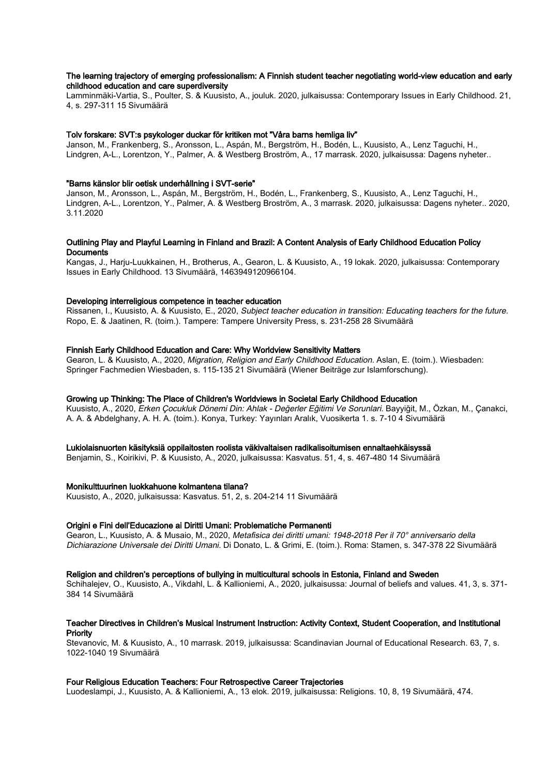## The learning trajectory of emerging professionalism: A Finnish student teacher negotiating world-view education and early childhood education and care superdiversity

Lamminmäki-Vartia, S., Poulter, S. & Kuusisto, A., jouluk. 2020, julkaisussa: Contemporary Issues in Early Childhood. 21, 4, s. 297-311 15 Sivumäärä

# Tolv forskare: SVT:s psykologer duckar för kritiken mot "Våra barns hemliga liv"

Janson, M., Frankenberg, S., Aronsson, L., Aspán, M., Bergström, H., Bodén, L., Kuusisto, A., Lenz Taguchi, H., Lindgren, A-L., Lorentzon, Y., Palmer, A. & Westberg Broström, A., 17 marrask. 2020, julkaisussa: Dagens nyheter..

## "Barns känslor blir oetisk underhållning i SVT-serie"

Janson, M., Aronsson, L., Aspán, M., Bergström, H., Bodén, L., Frankenberg, S., Kuusisto, A., Lenz Taguchi, H., Lindgren, A-L., Lorentzon, Y., Palmer, A. & Westberg Broström, A., 3 marrask. 2020, julkaisussa: Dagens nyheter.. 2020, 3.11.2020

# Outlining Play and Playful Learning in Finland and Brazil: A Content Analysis of Early Childhood Education Policy **Documents**

Kangas, J., Harju-Luukkainen, H., Brotherus, A., Gearon, L. & Kuusisto, A., 19 lokak. 2020, julkaisussa: Contemporary Issues in Early Childhood. 13 Sivumäärä, 1463949120966104.

# Developing interreligious competence in teacher education

Rissanen, I., Kuusisto, A. & Kuusisto, E., 2020, Subject teacher education in transition: Educating teachers for the future. Ropo, E. & Jaatinen, R. (toim.). Tampere: Tampere University Press, s. 231-258 28 Sivumäärä

## Finnish Early Childhood Education and Care: Why Worldview Sensitivity Matters

Gearon, L. & Kuusisto, A., 2020, Migration, Religion and Early Childhood Education. Aslan, E. (toim.). Wiesbaden: Springer Fachmedien Wiesbaden, s. 115-135 21 Sivumäärä (Wiener Beiträge zur Islamforschung).

# Growing up Thinking: The Place of Children's Worldviews in Societal Early Childhood Education

Kuusisto, A., 2020, Erken Çocukluk Dönemi Din: Ahlak - Değerler Eğitimi Ve Sorunlari. Bayyiğit, M., Özkan, M., Çanakci, A. A. & Abdelghany, A. H. A. (toim.). Konya, Turkey: Yayınları Aralık, Vuosikerta 1. s. 7-10 4 Sivumäärä

## Lukiolaisnuorten käsityksiä oppilaitosten roolista väkivaltaisen radikalisoitumisen ennaltaehkäisyssä

Benjamin, S., Koirikivi, P. & Kuusisto, A., 2020, julkaisussa: Kasvatus. 51, 4, s. 467-480 14 Sivumäärä

## Monikulttuurinen luokkahuone kolmantena tilana?

Kuusisto, A., 2020, julkaisussa: Kasvatus. 51, 2, s. 204-214 11 Sivumäärä

#### Origini e Fini dell'Educazione ai Diritti Umani: Problematiche Permanenti

Gearon, L., Kuusisto, A. & Musaio, M., 2020, Metafisica dei diritti umani: 1948-2018 Per il 70° anniversario della Dichiarazione Universale dei Diritti Umani. Di Donato, L. & Grimi, E. (toim.). Roma: Stamen, s. 347-378 22 Sivumäärä

#### Religion and children's perceptions of bullying in multicultural schools in Estonia, Finland and Sweden

Schihalejev, O., Kuusisto, A., Vikdahl, L. & Kallioniemi, A., 2020, julkaisussa: Journal of beliefs and values. 41, 3, s. 371- 384 14 Sivumäärä

# Teacher Directives in Children's Musical Instrument Instruction: Activity Context, Student Cooperation, and Institutional **Priority**

Stevanovic, M. & Kuusisto, A., 10 marrask. 2019, julkaisussa: Scandinavian Journal of Educational Research. 63, 7, s. 1022-1040 19 Sivumäärä

## Four Religious Education Teachers: Four Retrospective Career Trajectories

Luodeslampi, J., Kuusisto, A. & Kallioniemi, A., 13 elok. 2019, julkaisussa: Religions. 10, 8, 19 Sivumäärä, 474.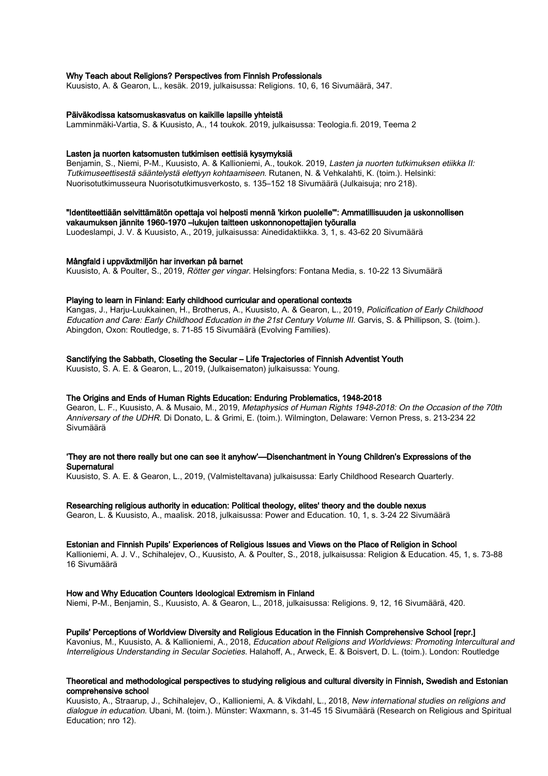## Why Teach about Religions? Perspectives from Finnish Professionals

Kuusisto, A. & Gearon, L., kesäk. 2019, julkaisussa: Religions. 10, 6, 16 Sivumäärä, 347.

#### Päiväkodissa katsomuskasvatus on kaikille lapsille yhteistä

Lamminmäki-Vartia, S. & Kuusisto, A., 14 toukok. 2019, julkaisussa: Teologia.fi. 2019, Teema 2

#### Lasten ja nuorten katsomusten tutkimisen eettisiä kysymyksiä

Benjamin, S., Niemi, P-M., Kuusisto, A. & Kallioniemi, A., toukok. 2019, Lasten ja nuorten tutkimuksen etiikka II: Tutkimuseettisestä sääntelystä elettyyn kohtaamiseen. Rutanen, N. & Vehkalahti, K. (toim.). Helsinki: Nuorisotutkimusseura Nuorisotutkimusverkosto, s. 135–152 18 Sivumäärä (Julkaisuja; nro 218).

# "Identiteettiään selvittämätön opettaja voi helposti mennä 'kirkon puolelle'": Ammatillisuuden ja uskonnollisen

vakaumuksen jännite 1960-1970 –lukujen taitteen uskonnonopettajien työuralla Luodeslampi, J. V. & Kuusisto, A., 2019, julkaisussa: Ainedidaktiikka. 3, 1, s. 43-62 20 Sivumäärä

#### Mångfald i uppväxtmiljön har inverkan på barnet

Kuusisto, A. & Poulter, S., 2019, Rötter ger vingar. Helsingfors: Fontana Media, s. 10-22 13 Sivumäärä

## Playing to learn in Finland: Early childhood curricular and operational contexts

Kangas, J., Harju-Luukkainen, H., Brotherus, A., Kuusisto, A. & Gearon, L., 2019, Policification of Early Childhood Education and Care: Early Childhood Education in the 21st Century Volume III. Garvis, S. & Phillipson, S. (toim.). Abingdon, Oxon: Routledge, s. 71-85 15 Sivumäärä (Evolving Families).

# Sanctifying the Sabbath, Closeting the Secular – Life Trajectories of Finnish Adventist Youth

Kuusisto, S. A. E. & Gearon, L., 2019, (Julkaisematon) julkaisussa: Young.

# The Origins and Ends of Human Rights Education: Enduring Problematics, 1948-2018

Gearon, L. F., Kuusisto, A. & Musaio, M., 2019, Metaphysics of Human Rights 1948-2018: On the Occasion of the 70th Anniversary of the UDHR. Di Donato, L. & Grimi, E. (toim.). Wilmington, Delaware: Vernon Press, s. 213-234 22 Sivumäärä

## 'They are not there really but one can see it anyhow'—Disenchantment in Young Children's Expressions of the **Supernatural**

Kuusisto, S. A. E. & Gearon, L., 2019, (Valmisteltavana) julkaisussa: Early Childhood Research Quarterly.

## Researching religious authority in education: Political theology, elites' theory and the double nexus

Gearon, L. & Kuusisto, A., maalisk. 2018, julkaisussa: Power and Education. 10, 1, s. 3-24 22 Sivumäärä

## Estonian and Finnish Pupils' Experiences of Religious Issues and Views on the Place of Religion in School

Kallioniemi, A. J. V., Schihalejev, O., Kuusisto, A. & Poulter, S., 2018, julkaisussa: Religion & Education. 45, 1, s. 73-88 16 Sivumäärä

## How and Why Education Counters Ideological Extremism in Finland

Niemi, P-M., Benjamin, S., Kuusisto, A. & Gearon, L., 2018, julkaisussa: Religions. 9, 12, 16 Sivumäärä, 420.

## Pupils' Perceptions of Worldview Diversity and Religious Education in the Finnish Comprehensive School [repr.]

Kavonius, M., Kuusisto, A. & Kallioniemi, A., 2018, Education about Religions and Worldviews: Promoting Intercultural and Interreligious Understanding in Secular Societies. Halahoff, A., Arweck, E. & Boisvert, D. L. (toim.). London: Routledge

# Theoretical and methodological perspectives to studying religious and cultural diversity in Finnish, Swedish and Estonian comprehensive school

Kuusisto, A., Straarup, J., Schihalejev, O., Kallioniemi, A. & Vikdahl, L., 2018, New international studies on religions and dialogue in education. Ubani, M. (toim.). Münster: Waxmann, s. 31-45 15 Sivumäärä (Research on Religious and Spiritual Education; nro 12).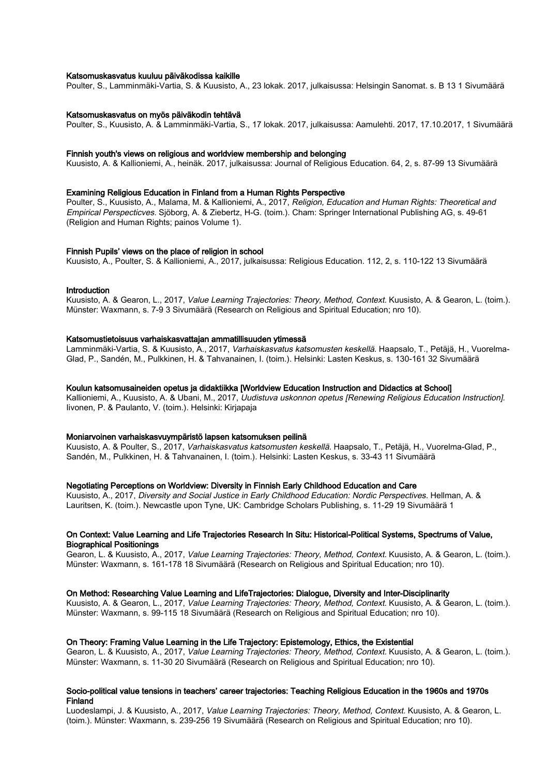#### Katsomuskasvatus kuuluu päiväkodissa kaikille

Poulter, S., Lamminmäki-Vartia, S. & Kuusisto, A., 23 lokak. 2017, julkaisussa: Helsingin Sanomat. s. B 13 1 Sivumäärä

#### Katsomuskasvatus on myös päiväkodin tehtävä

Poulter, S., Kuusisto, A. & Lamminmäki-Vartia, S., 17 lokak. 2017, julkaisussa: Aamulehti. 2017, 17.10.2017, 1 Sivumäärä

#### Finnish youth's views on religious and worldview membership and belonging

Kuusisto, A. & Kallioniemi, A., heinäk. 2017, julkaisussa: Journal of Religious Education. 64, 2, s. 87-99 13 Sivumäärä

## Examining Religious Education in Finland from a Human Rights Perspective

Poulter, S., Kuusisto, A., Malama, M. & Kallioniemi, A., 2017, Religion, Education and Human Rights: Theoretical and Empirical Perspecticves. Sjöborg, A. & Ziebertz, H-G. (toim.). Cham: Springer International Publishing AG, s. 49-61 (Religion and Human Rights; painos Volume 1).

#### Finnish Pupils' views on the place of religion in school

Kuusisto, A., Poulter, S. & Kallioniemi, A., 2017, julkaisussa: Religious Education. 112, 2, s. 110-122 13 Sivumäärä

#### **Introduction**

Kuusisto, A. & Gearon, L., 2017, Value Learning Trajectories: Theory, Method, Context. Kuusisto, A. & Gearon, L. (toim.). Münster: Waxmann, s. 7-9 3 Sivumäärä (Research on Religious and Spiritual Education; nro 10).

## Katsomustietoisuus varhaiskasvattajan ammatillisuuden ytimessä

Lamminmäki-Vartia, S. & Kuusisto, A., 2017, Varhaiskasvatus katsomusten keskellä. Haapsalo, T., Petäjä, H., Vuorelma-Glad, P., Sandén, M., Pulkkinen, H. & Tahvanainen, I. (toim.). Helsinki: Lasten Keskus, s. 130-161 32 Sivumäärä

#### Koulun katsomusaineiden opetus ja didaktiikka [Worldview Education Instruction and Didactics at School]

Kallioniemi, A., Kuusisto, A. & Ubani, M., 2017, Uudistuva uskonnon opetus [Renewing Religious Education Instruction]. Iivonen, P. & Paulanto, V. (toim.). Helsinki: Kirjapaja

#### Moniarvoinen varhaiskasvuympäristö lapsen katsomuksen peilinä

Kuusisto, A. & Poulter, S., 2017, Varhaiskasvatus katsomusten keskellä. Haapsalo, T., Petäjä, H., Vuorelma-Glad, P., Sandén, M., Pulkkinen, H. & Tahvanainen, I. (toim.). Helsinki: Lasten Keskus, s. 33-43 11 Sivumäärä

## Negotiating Perceptions on Worldview: Diversity in Finnish Early Childhood Education and Care

Kuusisto, A., 2017, Diversity and Social Justice in Early Childhood Education: Nordic Perspectives. Hellman, A. & Lauritsen, K. (toim.). Newcastle upon Tyne, UK: Cambridge Scholars Publishing, s. 11-29 19 Sivumäärä 1

#### On Context: Value Learning and Life Trajectories Research In Situ: Historical-Political Systems, Spectrums of Value, Biographical Positionings

Gearon, L. & Kuusisto, A., 2017, Value Learning Trajectories: Theory, Method, Context. Kuusisto, A. & Gearon, L. (toim.). Münster: Waxmann, s. 161-178 18 Sivumäärä (Research on Religious and Spiritual Education; nro 10).

#### On Method: Researching Value Learning and LifeTrajectories: Dialogue, Diversity and Inter-Disciplinarity

Kuusisto, A. & Gearon, L., 2017, Value Learning Trajectories: Theory, Method, Context. Kuusisto, A. & Gearon, L. (toim.). Münster: Waxmann, s. 99-115 18 Sivumäärä (Research on Religious and Spiritual Education; nro 10).

#### On Theory: Framing Value Learning in the Life Trajectory: Epistemology, Ethics, the Existential

Gearon, L. & Kuusisto, A., 2017, Value Learning Trajectories: Theory, Method, Context. Kuusisto, A. & Gearon, L. (toim.). Münster: Waxmann, s. 11-30 20 Sivumäärä (Research on Religious and Spiritual Education; nro 10).

#### Socio-political value tensions in teachers' career trajectories: Teaching Religious Education in the 1960s and 1970s Finland

Luodeslampi, J. & Kuusisto, A., 2017, Value Learning Trajectories: Theory, Method, Context. Kuusisto, A. & Gearon, L. (toim.). Münster: Waxmann, s. 239-256 19 Sivumäärä (Research on Religious and Spiritual Education; nro 10).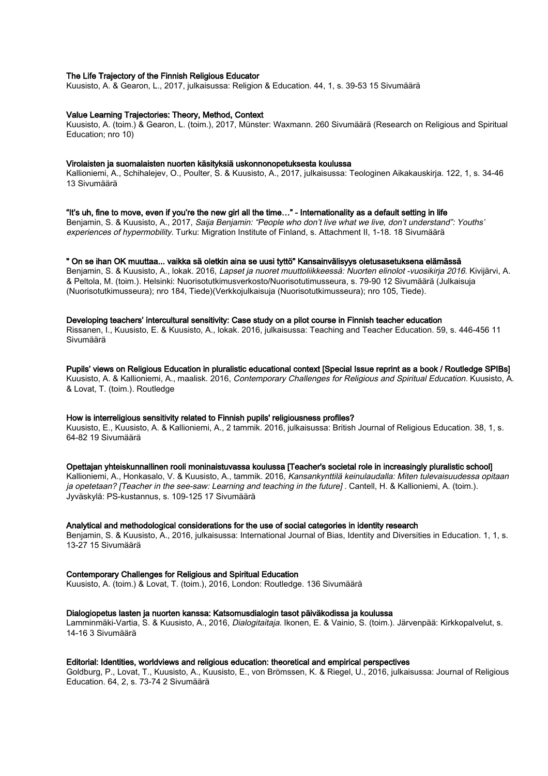## The Life Trajectory of the Finnish Religious Educator

Kuusisto, A. & Gearon, L., 2017, julkaisussa: Religion & Education. 44, 1, s. 39-53 15 Sivumäärä

## Value Learning Trajectories: Theory, Method, Context

Kuusisto, A. (toim.) & Gearon, L. (toim.), 2017, Münster: Waxmann. 260 Sivumäärä (Research on Religious and Spiritual Education; nro 10)

## Virolaisten ja suomalaisten nuorten käsityksiä uskonnonopetuksesta koulussa

Kallioniemi, A., Schihalejev, O., Poulter, S. & Kuusisto, A., 2017, julkaisussa: Teologinen Aikakauskirja. 122, 1, s. 34-46 13 Sivumäärä

## "It's uh, fine to move, even if you're the new girl all the time…" - Internationality as a default setting in life

Benjamin, S. & Kuusisto, A., 2017, Saija Benjamin: "People who don't live what we live, don't understand": Youths' experiences of hypermobility. Turku: Migration Institute of Finland, s. Attachment II, 1-18. 18 Sivumäärä

#### " On se ihan OK muuttaa... vaikka sä oletkin aina se uusi tyttö" Kansainvälisyys oletusasetuksena elämässä

Benjamin, S. & Kuusisto, A., lokak. 2016, Lapset ja nuoret muuttoliikkeessä: Nuorten elinolot -vuosikirja 2016. Kivijärvi, A. & Peltola, M. (toim.). Helsinki: Nuorisotutkimusverkosto/Nuorisotutimusseura, s. 79-90 12 Sivumäärä (Julkaisuja (Nuorisotutkimusseura); nro 184, Tiede)(Verkkojulkaisuja (Nuorisotutkimusseura); nro 105, Tiede).

## Developing teachers' intercultural sensitivity: Case study on a pilot course in Finnish teacher education

Rissanen, I., Kuusisto, E. & Kuusisto, A., lokak. 2016, julkaisussa: Teaching and Teacher Education. 59, s. 446-456 11 Sivumäärä

#### Pupils' views on Religious Education in pluralistic educational context [Special Issue reprint as a book / Routledge SPIBs]

Kuusisto, A. & Kallioniemi, A., maalisk. 2016, Contemporary Challenges for Religious and Spiritual Education. Kuusisto, A. & Lovat, T. (toim.). Routledge

## How is interreligious sensitivity related to Finnish pupils' religiousness profiles?

Kuusisto, E., Kuusisto, A. & Kallioniemi, A., 2 tammik. 2016, julkaisussa: British Journal of Religious Education. 38, 1, s. 64-82 19 Sivumäärä

## Opettajan yhteiskunnallinen rooli moninaistuvassa koulussa [Teacher's societal role in increasingly pluralistic school]

Kallioniemi, A., Honkasalo, V. & Kuusisto, A., tammik. 2016, Kansankynttilä keinulaudalla: Miten tulevaisuudessa opitaan ja opetetaan? [Teacher in the see-saw: Learning and teaching in the future] . Cantell, H. & Kallioniemi, A. (toim.). Jyväskylä: PS-kustannus, s. 109-125 17 Sivumäärä

#### Analytical and methodological considerations for the use of social categories in identity research

Benjamin, S. & Kuusisto, A., 2016, julkaisussa: International Journal of Bias, Identity and Diversities in Education. 1, 1, s. 13-27 15 Sivumäärä

#### Contemporary Challenges for Religious and Spiritual Education

Kuusisto, A. (toim.) & Lovat, T. (toim.), 2016, London: Routledge. 136 Sivumäärä

# Dialogiopetus lasten ja nuorten kanssa: Katsomusdialogin tasot päiväkodissa ja koulussa

Lamminmäki-Vartia, S. & Kuusisto, A., 2016, Dialogitaitaja. Ikonen, E. & Vainio, S. (toim.). Järvenpää: Kirkkopalvelut, s. 14-16 3 Sivumäärä

## Editorial: Identities, worldviews and religious education: theoretical and empirical perspectives

Goldburg, P., Lovat, T., Kuusisto, A., Kuusisto, E., von Brömssen, K. & Riegel, U., 2016, julkaisussa: Journal of Religious Education. 64, 2, s. 73-74 2 Sivumäärä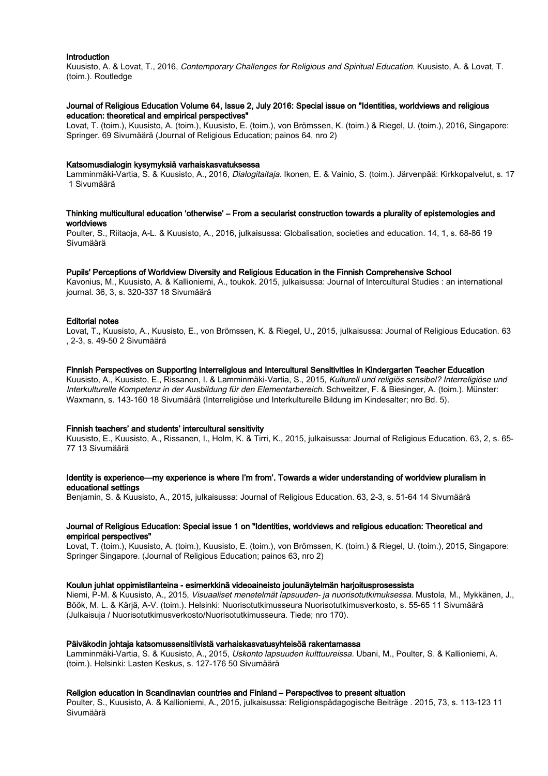#### Introduction

Kuusisto, A. & Lovat, T., 2016, Contemporary Challenges for Religious and Spiritual Education. Kuusisto, A. & Lovat, T. (toim.). Routledge

## Journal of Religious Education Volume 64, Issue 2, July 2016: Special issue on "Identities, worldviews and religious education: theoretical and empirical perspectives"

Lovat, T. (toim.), Kuusisto, A. (toim.), Kuusisto, E. (toim.), von Brömssen, K. (toim.) & Riegel, U. (toim.), 2016, Singapore: Springer. 69 Sivumäärä (Journal of Religious Education; painos 64, nro 2)

#### Katsomusdialogin kysymyksiä varhaiskasvatuksessa

Lamminmäki-Vartia, S. & Kuusisto, A., 2016, Dialogitaitaja. Ikonen, E. & Vainio, S. (toim.). Järvenpää: Kirkkopalvelut, s. 17 1 Sivumäärä

## Thinking multicultural education 'otherwise' – From a secularist construction towards a plurality of epistemologies and worldviews

Poulter, S., Riitaoja, A-L. & Kuusisto, A., 2016, julkaisussa: Globalisation, societies and education. 14, 1, s. 68-86 19 Sivumäärä

## Pupils' Perceptions of Worldview Diversity and Religious Education in the Finnish Comprehensive School

Kavonius, M., Kuusisto, A. & Kallioniemi, A., toukok. 2015, julkaisussa: Journal of Intercultural Studies : an international journal. 36, 3, s. 320-337 18 Sivumäärä

## Editorial notes

Lovat, T., Kuusisto, A., Kuusisto, E., von Brömssen, K. & Riegel, U., 2015, julkaisussa: Journal of Religious Education. 63 , 2-3, s. 49-50 2 Sivumäärä

## Finnish Perspectives on Supporting Interreligious and Intercultural Sensitivities in Kindergarten Teacher Education

Kuusisto, A., Kuusisto, E., Rissanen, I. & Lamminmäki-Vartia, S., 2015, Kulturell und religiös sensibel? Interreligiöse und Interkulturelle Kompetenz in der Ausbildung für den Elementarbereich. Schweitzer, F. & Biesinger, A. (toim.). Münster: Waxmann, s. 143-160 18 Sivumäärä (Interreligiöse und Interkulturelle Bildung im Kindesalter; nro Bd. 5).

#### Finnish teachers' and students' intercultural sensitivity

Kuusisto, E., Kuusisto, A., Rissanen, I., Holm, K. & Tirri, K., 2015, julkaisussa: Journal of Religious Education. 63, 2, s. 65- 77 13 Sivumäärä

## Identity is experience—my experience is where I'm from'. Towards a wider understanding of worldview pluralism in educational settings

Benjamin, S. & Kuusisto, A., 2015, julkaisussa: Journal of Religious Education. 63, 2-3, s. 51-64 14 Sivumäärä

# Journal of Religious Education: Special issue 1 on "Identities, worldviews and religious education: Theoretical and empirical perspectives"

Lovat, T. (toim.), Kuusisto, A. (toim.), Kuusisto, E. (toim.), von Brömssen, K. (toim.) & Riegel, U. (toim.), 2015, Singapore: Springer Singapore. (Journal of Religious Education; painos 63, nro 2)

#### Koulun juhlat oppimistilanteina - esimerkkinä videoaineisto joulunäytelmän harjoitusprosessista

Niemi, P-M. & Kuusisto, A., 2015, Visuaaliset menetelmät lapsuuden- ja nuorisotutkimuksessa. Mustola, M., Mykkänen, J., Böök, M. L. & Kärjä, A-V. (toim.). Helsinki: Nuorisotutkimusseura Nuorisotutkimusverkosto, s. 55-65 11 Sivumäärä (Julkaisuja / Nuorisotutkimusverkosto/Nuorisotutkimusseura. Tiede; nro 170).

#### Päiväkodin johtaja katsomussensitiivistä varhaiskasvatusyhteisöä rakentamassa

Lamminmäki-Vartia, S. & Kuusisto, A., 2015, Uskonto lapsuuden kulttuureissa. Ubani, M., Poulter, S. & Kallioniemi, A. (toim.). Helsinki: Lasten Keskus, s. 127-176 50 Sivumäärä

#### Religion education in Scandinavian countries and Finland – Perspectives to present situation

Poulter, S., Kuusisto, A. & Kallioniemi, A., 2015, julkaisussa: Religionspädagogische Beiträge . 2015, 73, s. 113-123 11 Sivumäärä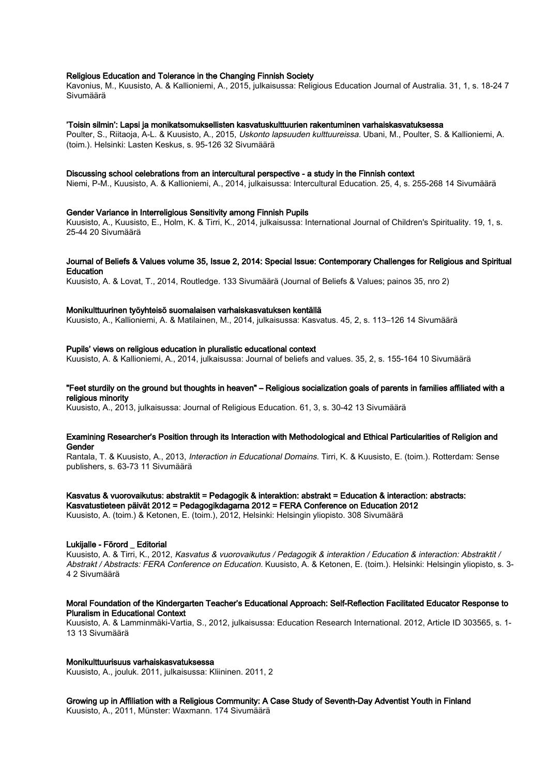# Religious Education and Tolerance in the Changing Finnish Society

Kavonius, M., Kuusisto, A. & Kallioniemi, A., 2015, julkaisussa: Religious Education Journal of Australia. 31, 1, s. 18-24 7 Sivumäärä

#### 'Toisin silmin': Lapsi ja monikatsomuksellisten kasvatuskulttuurien rakentuminen varhaiskasvatuksessa

Poulter, S., Riitaoja, A-L. & Kuusisto, A., 2015, Uskonto lapsuuden kulttuureissa. Ubani, M., Poulter, S. & Kallioniemi, A. (toim.). Helsinki: Lasten Keskus, s. 95-126 32 Sivumäärä

#### Discussing school celebrations from an intercultural perspective - a study in the Finnish context

Niemi, P-M., Kuusisto, A. & Kallioniemi, A., 2014, julkaisussa: Intercultural Education. 25, 4, s. 255-268 14 Sivumäärä

#### Gender Variance in Interreligious Sensitivity among Finnish Pupils

Kuusisto, A., Kuusisto, E., Holm, K. & Tirri, K., 2014, julkaisussa: International Journal of Children's Spirituality. 19, 1, s. 25-44 20 Sivumäärä

#### Journal of Beliefs & Values volume 35, Issue 2, 2014: Special Issue: Contemporary Challenges for Religious and Spiritual **Education**

Kuusisto, A. & Lovat, T., 2014, Routledge. 133 Sivumäärä (Journal of Beliefs & Values; painos 35, nro 2)

#### Monikulttuurinen työyhteisö suomalaisen varhaiskasvatuksen kentällä

Kuusisto, A., Kallioniemi, A. & Matilainen, M., 2014, julkaisussa: Kasvatus. 45, 2, s. 113–126 14 Sivumäärä

## Pupils' views on religious education in pluralistic educational context

Kuusisto, A. & Kallioniemi, A., 2014, julkaisussa: Journal of beliefs and values. 35, 2, s. 155-164 10 Sivumäärä

## "Feet sturdily on the ground but thoughts in heaven" – Religious socialization goals of parents in families affiliated with a religious minority

Kuusisto, A., 2013, julkaisussa: Journal of Religious Education. 61, 3, s. 30-42 13 Sivumäärä

#### Examining Researcher's Position through its Interaction with Methodological and Ethical Particularities of Religion and Gender

Rantala, T. & Kuusisto, A., 2013, Interaction in Educational Domains. Tirri, K. & Kuusisto, E. (toim.). Rotterdam: Sense publishers, s. 63-73 11 Sivumäärä

#### Kasvatus & vuorovaikutus: abstraktit = Pedagogik & interaktion: abstrakt = Education & interaction: abstracts:

Kasvatustieteen päivät 2012 = Pedagogikdagarna 2012 = FERA Conference on Education 2012

Kuusisto, A. (toim.) & Ketonen, E. (toim.), 2012, Helsinki: Helsingin yliopisto. 308 Sivumäärä

## Lukijalle - Förord \_ Editorial

Kuusisto, A. & Tirri, K., 2012, Kasvatus & vuorovaikutus / Pedagogik & interaktion / Education & interaction: Abstraktit / Abstrakt / Abstracts: FERA Conference on Education. Kuusisto, A. & Ketonen, E. (toim.). Helsinki: Helsingin yliopisto, s. 3- 4 2 Sivumäärä

# Moral Foundation of the Kindergarten Teacher's Educational Approach: Self-Reflection Facilitated Educator Response to Pluralism in Educational Context

Kuusisto, A. & Lamminmäki-Vartia, S., 2012, julkaisussa: Education Research International. 2012, Article ID 303565, s. 1- 13 13 Sivumäärä

#### Monikulttuurisuus varhaiskasvatuksessa

Kuusisto, A., jouluk. 2011, julkaisussa: Kliininen. 2011, 2

Growing up in Affiliation with a Religious Community: A Case Study of Seventh-Day Adventist Youth in Finland Kuusisto, A., 2011, Münster: Waxmann. 174 Sivumäärä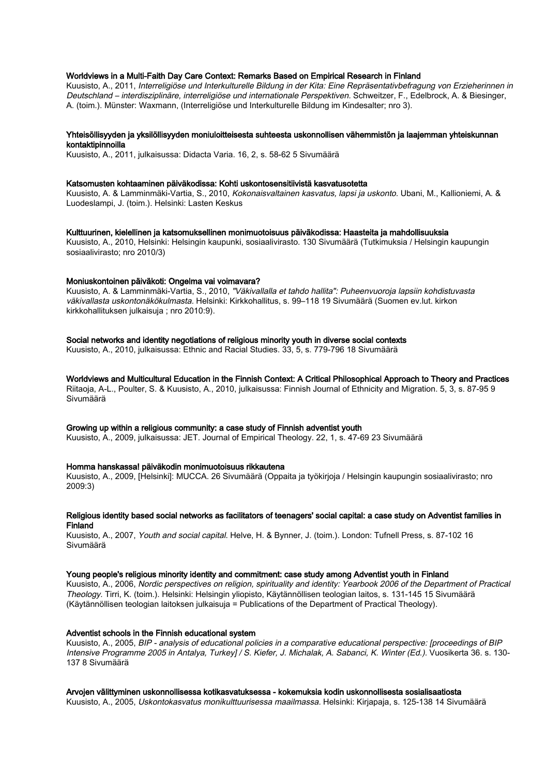# Worldviews in a Multi-Faith Day Care Context: Remarks Based on Empirical Research in Finland

Kuusisto, A., 2011, Interreligiöse und Interkulturelle Bildung in der Kita: Eine Repräsentativbefragung von Erzieherinnen in Deutschland – interdisziplinäre, interreligiöse und internationale Perspektiven. Schweitzer, F., Edelbrock, A. & Biesinger, A. (toim.). Münster: Waxmann, (Interreligiöse und Interkulturelle Bildung im Kindesalter; nro 3).

#### Yhteisöllisyyden ja yksilöllisyyden moniuloitteisesta suhteesta uskonnollisen vähemmistön ja laajemman yhteiskunnan kontaktipinnoilla

Kuusisto, A., 2011, julkaisussa: Didacta Varia. 16, 2, s. 58-62 5 Sivumäärä

#### Katsomusten kohtaaminen päiväkodissa: Kohti uskontosensitiivistä kasvatusotetta

Kuusisto, A. & Lamminmäki-Vartia, S., 2010, Kokonaisvaltainen kasvatus, lapsi ja uskonto. Ubani, M., Kallioniemi, A. & Luodeslampi, J. (toim.). Helsinki: Lasten Keskus

## Kulttuurinen, kielellinen ja katsomuksellinen monimuotoisuus päiväkodissa: Haasteita ja mahdollisuuksia

Kuusisto, A., 2010, Helsinki: Helsingin kaupunki, sosiaalivirasto. 130 Sivumäärä (Tutkimuksia / Helsingin kaupungin sosiaalivirasto; nro 2010/3)

## Moniuskontoinen päiväkoti: Ongelma vai voimavara?

Kuusisto, A. & Lamminmäki-Vartia, S., 2010, "Väkivallalla et tahdo hallita": Puheenvuoroja lapsiin kohdistuvasta väkivallasta uskontonäkökulmasta. Helsinki: Kirkkohallitus, s. 99–118 19 Sivumäärä (Suomen ev.lut. kirkon kirkkohallituksen julkaisuja ; nro 2010:9).

# Social networks and identity negotiations of religious minority youth in diverse social contexts

Kuusisto, A., 2010, julkaisussa: Ethnic and Racial Studies. 33, 5, s. 779-796 18 Sivumäärä

Worldviews and Multicultural Education in the Finnish Context: A Critical Philosophical Approach to Theory and Practices Riitaoja, A-L., Poulter, S. & Kuusisto, A., 2010, julkaisussa: Finnish Journal of Ethnicity and Migration. 5, 3, s. 87-95 9 Sivumäärä

## Growing up within a religious community: a case study of Finnish adventist youth

Kuusisto, A., 2009, julkaisussa: JET. Journal of Empirical Theology. 22, 1, s. 47-69 23 Sivumäärä

# Homma hanskassa! päiväkodin monimuotoisuus rikkautena

Kuusisto, A., 2009, [Helsinki]: MUCCA. 26 Sivumäärä (Oppaita ja työkirjoja / Helsingin kaupungin sosiaalivirasto; nro 2009:3)

#### Religious identity based social networks as facilitators of teenagers' social capital: a case study on Adventist families in Finland

Kuusisto, A., 2007, Youth and social capital. Helve, H. & Bynner, J. (toim.). London: Tufnell Press, s. 87-102 16 Sivumäärä

#### Young people's religious minority identity and commitment: case study among Adventist youth in Finland

Kuusisto, A., 2006, Nordic perspectives on religion, spirituality and identity: Yearbook 2006 of the Department of Practical Theology. Tirri, K. (toim.). Helsinki: Helsingin yliopisto, Käytännöllisen teologian laitos, s. 131-145 15 Sivumäärä (Käytännöllisen teologian laitoksen julkaisuja = Publications of the Department of Practical Theology).

# Adventist schools in the Finnish educational system

Kuusisto, A., 2005, BIP - analysis of educational policies in a comparative educational perspective: [proceedings of BIP Intensive Programme 2005 in Antalya, Turkey] / S. Kiefer, J. Michalak, A. Sabanci, K. Winter (Ed.). Vuosikerta 36. s. 130- 137 8 Sivumäärä

#### Arvojen välittyminen uskonnollisessa kotikasvatuksessa - kokemuksia kodin uskonnollisesta sosialisaatiosta

Kuusisto, A., 2005, Uskontokasvatus monikulttuurisessa maailmassa. Helsinki: Kirjapaja, s. 125-138 14 Sivumäärä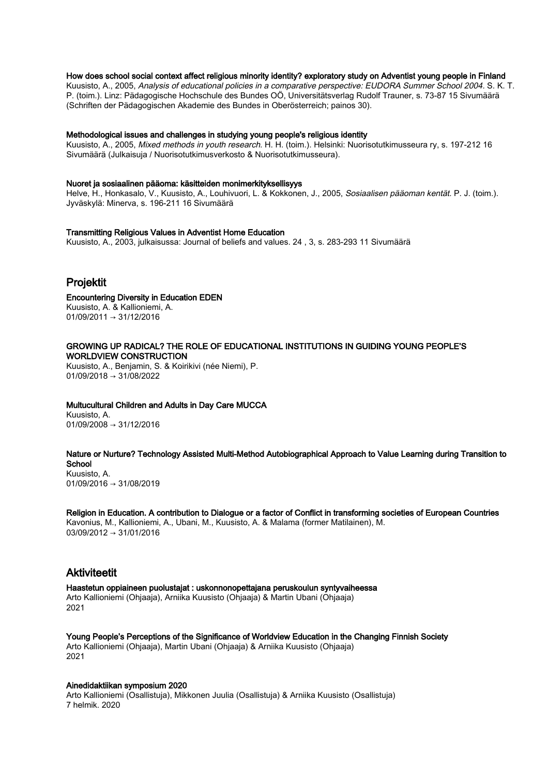## How does school social context affect religious minority identity? exploratory study on Adventist young people in Finland

Kuusisto, A., 2005, Analysis of educational policies in a comparative perspective: EUDORA Summer School 2004. S. K. T. P. (toim.). Linz: Pädagogische Hochschule des Bundes OÖ, Universitätsverlag Rudolf Trauner, s. 73-87 15 Sivumäärä (Schriften der Pädagogischen Akademie des Bundes in Oberösterreich; painos 30).

#### Methodological issues and challenges in studying young people's religious identity

Kuusisto, A., 2005, Mixed methods in youth research. H. H. (toim.). Helsinki: Nuorisotutkimusseura ry, s. 197-212 16 Sivumäärä (Julkaisuja / Nuorisotutkimusverkosto & Nuorisotutkimusseura).

#### Nuoret ja sosiaalinen pääoma: käsitteiden monimerkityksellisyys

Helve, H., Honkasalo, V., Kuusisto, A., Louhivuori, L. & Kokkonen, J., 2005, Sosiaalisen pääoman kentät. P. J. (toim.). Jyväskylä: Minerva, s. 196-211 16 Sivumäärä

## Transmitting Religious Values in Adventist Home Education

Kuusisto, A., 2003, julkaisussa: Journal of beliefs and values. 24 , 3, s. 283-293 11 Sivumäärä

# Projektit

## Encountering Diversity in Education EDEN

Kuusisto, A. & Kallioniemi, A. 01/09/2011 → 31/12/2016

## GROWING UP RADICAL? THE ROLE OF EDUCATIONAL INSTITUTIONS IN GUIDING YOUNG PEOPLE'S WORLDVIEW CONSTRUCTION

Kuusisto, A., Benjamin, S. & Koirikivi (née Niemi), P.  $01/09/2018 \rightarrow 31/08/2022$ 

#### Multucultural Children and Adults in Day Care MUCCA

Kuusisto, A.  $01/09/2008 \rightarrow 31/12/2016$ 

#### Nature or Nurture? Technology Assisted Multi-Method Autobiographical Approach to Value Learning during Transition to **School**

Kuusisto, A. 01/09/2016 → 31/08/2019

# Religion in Education. A contribution to Dialogue or a factor of Conflict in transforming societies of European Countries

Kavonius, M., Kallioniemi, A., Ubani, M., Kuusisto, A. & Malama (former Matilainen), M. 03/09/2012 → 31/01/2016

# Aktiviteetit

Haastetun oppiaineen puolustajat : uskonnonopettajana peruskoulun syntyvaiheessa Arto Kallioniemi (Ohjaaja), Arniika Kuusisto (Ohjaaja) & Martin Ubani (Ohjaaja) 2021

Young People's Perceptions of the Significance of Worldview Education in the Changing Finnish Society Arto Kallioniemi (Ohjaaja), Martin Ubani (Ohjaaja) & Arniika Kuusisto (Ohjaaja) 2021

# Ainedidaktiikan symposium 2020

Arto Kallioniemi (Osallistuja), Mikkonen Juulia (Osallistuja) & Arniika Kuusisto (Osallistuja) 7 helmik. 2020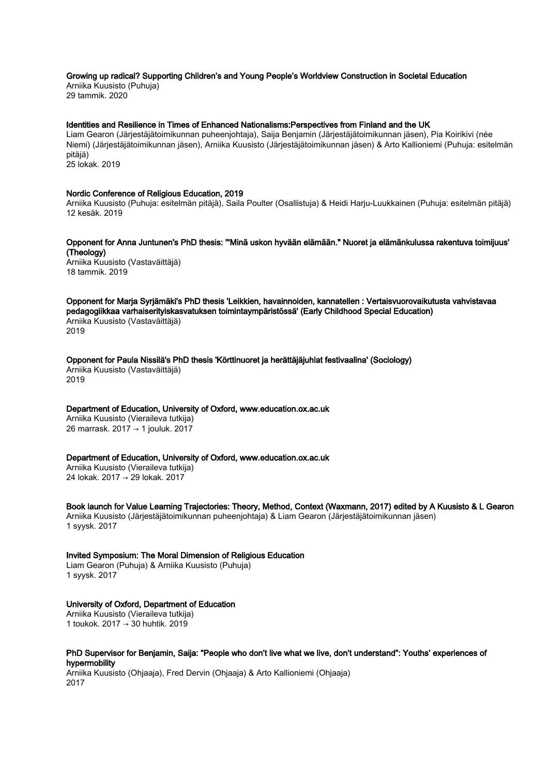# Growing up radical? Supporting Children's and Young People's Worldview Construction in Societal Education

Arniika Kuusisto (Puhuja) 29 tammik. 2020

#### Identities and Resilience in Times of Enhanced Nationalisms:Perspectives from Finland and the UK

Liam Gearon (Järjestäjätoimikunnan puheenjohtaja), Saija Benjamin (Järjestäjätoimikunnan jäsen), Pia Koirikivi (née Niemi) (Järjestäjätoimikunnan jäsen), Arniika Kuusisto (Järjestäjätoimikunnan jäsen) & Arto Kallioniemi (Puhuja: esitelmän pitäjä) 25 lokak. 2019

Nordic Conference of Religious Education, 2019

Arniika Kuusisto (Puhuja: esitelmän pitäjä), Saila Poulter (Osallistuja) & Heidi Harju-Luukkainen (Puhuja: esitelmän pitäjä) 12 kesäk. 2019

Opponent for Anna Juntunen's PhD thesis: '"Minä uskon hyvään elämään." Nuoret ja elämänkulussa rakentuva toimijuus' (Theology)

Arniika Kuusisto (Vastaväittäjä) 18 tammik. 2019

Opponent for Marja Syrjämäki's PhD thesis 'Leikkien, havainnoiden, kannatellen : Vertaisvuorovaikutusta vahvistavaa pedagogiikkaa varhaiserityiskasvatuksen toimintaympäristössä' (Early Childhood Special Education) Arniika Kuusisto (Vastaväittäjä) 2019

Opponent for Paula Nissilä's PhD thesis 'Körttinuoret ja herättäjäjuhlat festivaalina' (Sociology) Arniika Kuusisto (Vastaväittäjä)

2019

Department of Education, University of Oxford, www.education.ox.ac.uk Arniika Kuusisto (Vieraileva tutkija)

26 marrask. 2017 → 1 jouluk. 2017

Department of Education, University of Oxford, www.education.ox.ac.uk

Arniika Kuusisto (Vieraileva tutkija) 24 lokak. 2017 → 29 lokak. 2017

Book launch for Value Learning Trajectories: Theory, Method, Context (Waxmann, 2017) edited by A Kuusisto & L Gearon Arniika Kuusisto (Järjestäjätoimikunnan puheenjohtaja) & Liam Gearon (Järjestäjätoimikunnan jäsen) 1 syysk. 2017

Invited Symposium: The Moral Dimension of Religious Education Liam Gearon (Puhuja) & Arniika Kuusisto (Puhuja)

1 syysk. 2017

# University of Oxford, Department of Education

Arniika Kuusisto (Vieraileva tutkija) 1 toukok. 2017 → 30 huhtik. 2019

# PhD Supervisor for Benjamin, Saija: "People who don't live what we live, don't understand": Youths' experiences of hypermobility

Arniika Kuusisto (Ohjaaja), Fred Dervin (Ohjaaja) & Arto Kallioniemi (Ohjaaja) 2017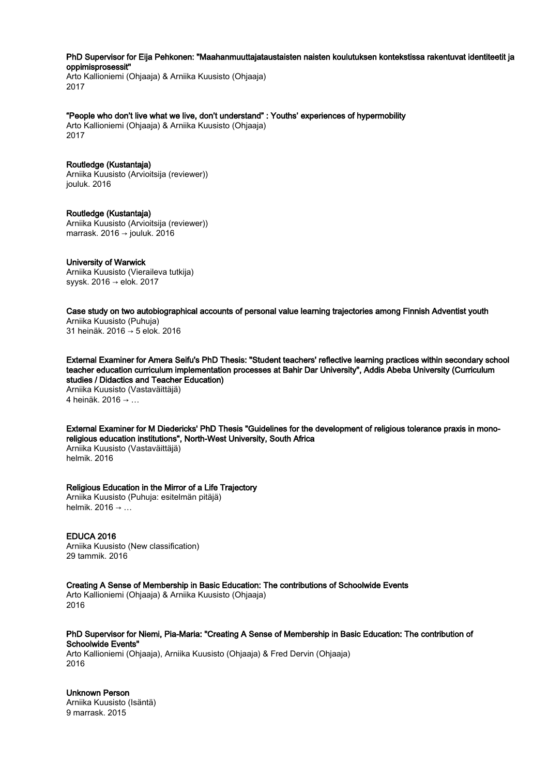PhD Supervisor for Eija Pehkonen: "Maahanmuuttajataustaisten naisten koulutuksen kontekstissa rakentuvat identiteetit ja oppimisprosessit"

Arto Kallioniemi (Ohjaaja) & Arniika Kuusisto (Ohjaaja) 2017

"People who don't live what we live, don't understand" : Youths' experiences of hypermobility

Arto Kallioniemi (Ohjaaja) & Arniika Kuusisto (Ohjaaja) 2017

# Routledge (Kustantaja)

Arniika Kuusisto (Arvioitsija (reviewer)) jouluk. 2016

Routledge (Kustantaja) Arniika Kuusisto (Arvioitsija (reviewer)) marrask. 2016 → jouluk. 2016

# University of Warwick

Arniika Kuusisto (Vieraileva tutkija) syysk. 2016 → elok. 2017

Case study on two autobiographical accounts of personal value learning trajectories among Finnish Adventist youth

Arniika Kuusisto (Puhuja) 31 heinäk. 2016 → 5 elok. 2016

External Examiner for Amera Seifu's PhD Thesis: "Student teachers' reflective learning practices within secondary school teacher education curriculum implementation processes at Bahir Dar University", Addis Abeba University (Curriculum studies / Didactics and Teacher Education) Arniika Kuusisto (Vastaväittäjä)

4 heinäk. 2016 → …

External Examiner for M Diedericks' PhD Thesis "Guidelines for the development of religious tolerance praxis in monoreligious education institutions", North-West University, South Africa Arniika Kuusisto (Vastaväittäjä)

helmik. 2016

# Religious Education in the Mirror of a Life Trajectory

Arniika Kuusisto (Puhuja: esitelmän pitäjä) helmik. 2016 → …

EDUCA 2016 Arniika Kuusisto (New classification) 29 tammik. 2016

Creating A Sense of Membership in Basic Education: The contributions of Schoolwide Events

Arto Kallioniemi (Ohjaaja) & Arniika Kuusisto (Ohjaaja) 2016

PhD Supervisor for Niemi, Pia-Maria: "Creating A Sense of Membership in Basic Education: The contribution of Schoolwide Events"

Arto Kallioniemi (Ohjaaja), Arniika Kuusisto (Ohjaaja) & Fred Dervin (Ohjaaja) 2016

Unknown Person Arniika Kuusisto (Isäntä) 9 marrask. 2015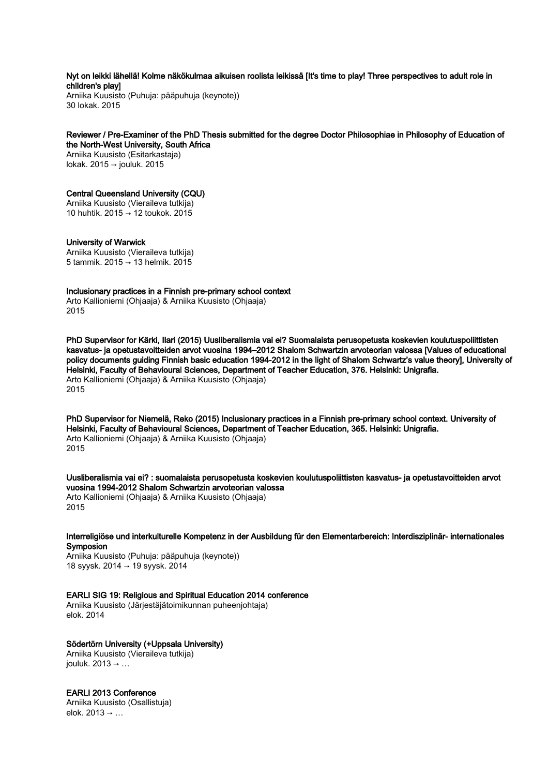# Nyt on leikki lähellä! Kolme näkökulmaa aikuisen roolista leikissä [It's time to play! Three perspectives to adult role in children's play]

Arniika Kuusisto (Puhuja: pääpuhuja (keynote)) 30 lokak. 2015

## Reviewer / Pre-Examiner of the PhD Thesis submitted for the degree Doctor Philosophiae in Philosophy of Education of the North-West University, South Africa

Arniika Kuusisto (Esitarkastaja) lokak. 2015 → jouluk. 2015

# Central Queensland University (CQU)

Arniika Kuusisto (Vieraileva tutkija) 10 huhtik. 2015 → 12 toukok. 2015

# University of Warwick

Arniika Kuusisto (Vieraileva tutkija) 5 tammik. 2015 → 13 helmik. 2015

# Inclusionary practices in a Finnish pre-primary school context

Arto Kallioniemi (Ohjaaja) & Arniika Kuusisto (Ohjaaja) 2015

PhD Supervisor for Kärki, Ilari (2015) Uusliberalismia vai ei? Suomalaista perusopetusta koskevien koulutuspoliittisten kasvatus- ja opetustavoitteiden arvot vuosina 1994–2012 Shalom Schwartzin arvoteorian valossa [Values of educational policy documents guiding Finnish basic education 1994-2012 in the light of Shalom Schwartz's value theory], University of Helsinki, Faculty of Behavioural Sciences, Department of Teacher Education, 376. Helsinki: Unigrafia. Arto Kallioniemi (Ohjaaja) & Arniika Kuusisto (Ohjaaja) 2015

PhD Supervisor for Niemelä, Reko (2015) Inclusionary practices in a Finnish pre-primary school context. University of Helsinki, Faculty of Behavioural Sciences, Department of Teacher Education, 365. Helsinki: Unigrafia. Arto Kallioniemi (Ohjaaja) & Arniika Kuusisto (Ohjaaja) 2015

Uusliberalismia vai ei? : suomalaista perusopetusta koskevien koulutuspoliittisten kasvatus- ja opetustavoitteiden arvot vuosina 1994-2012 Shalom Schwartzin arvoteorian valossa Arto Kallioniemi (Ohjaaja) & Arniika Kuusisto (Ohjaaja)

2015

Interreligiöse und interkulturelle Kompetenz in der Ausbildung für den Elementarbereich: Interdisziplinär- internationales **Symposion** 

Arniika Kuusisto (Puhuja: pääpuhuja (keynote)) 18 syysk. 2014 → 19 syysk. 2014

# EARLI SIG 19: Religious and Spiritual Education 2014 conference

Arniika Kuusisto (Järjestäjätoimikunnan puheenjohtaja) elok. 2014

# Södertörn University (+Uppsala University)

Arniika Kuusisto (Vieraileva tutkija) jouluk.  $2013 \rightarrow \ldots$ 

# EARLI 2013 Conference

Arniika Kuusisto (Osallistuja) elok. 2013 → …